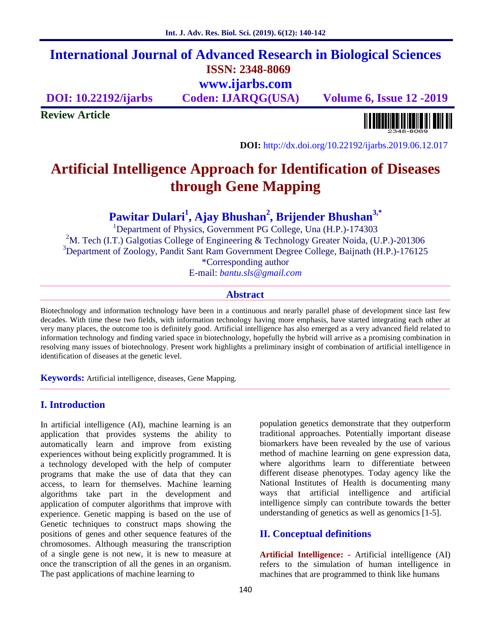# **International Journal of Advanced Research in Biological Sciences ISSN: 2348-8069 www.ijarbs.com**

**DOI: 10.22192/ijarbs Coden: IJARQG(USA) Volume 6, Issue 12 -2019**

**Review Article**

<u> Alban kalendari kalendar pada sebagai pengangkan pada atau pada atau pada atau sebagai pada atau salah pada a</u>

**DOI:** http://dx.doi.org/10.22192/ijarbs.2019.06.12.017

# **Artificial Intelligence Approach for Identification of Diseases through Gene Mapping**

**Pawitar Dulari<sup>1</sup> , Ajay Bhushan<sup>2</sup> , Brijender Bhushan3,\***

<sup>1</sup>Department of Physics, Government PG College, Una (H.P.)-174303 <sup>2</sup>M. Tech (I.T.) Galgotias College of Engineering & Technology Greater Noida, (U.P.)-201306 <sup>3</sup>Department of Zoology, Pandit Sant Ram Government Degree College, Baijnath (H.P.)-176125 \*Corresponding author E-mail: *bantu.sls@gmail.com*

#### **Abstract**

Biotechnology and information technology have been in a continuous and nearly parallel phase of development since last few decades. With time these two fields, with information technology having more emphasis, have started integrating each other at very many places, the outcome too is definitely good. Artificial intelligence has also emerged as a very advanced field related to information technology and finding varied space in biotechnology, hopefully the hybrid will arrive as a promising combination in resolving many issues of biotechnology. Present work highlights a preliminary insight of combination of artificial intelligence in identification of diseases at the genetic level.

**Keywords:** Artificial intelligence, diseases, Gene Mapping.

#### **I. Introduction**

In artificial intelligence (AI), machine learning is an application that provides systems the ability to automatically learn and improve from existing experiences without being explicitly programmed. It is a technology developed with the help of computer programs that make the use of data that they can access, to learn for themselves. Machine learning algorithms take part in the development and application of computer algorithms that improve with experience. Genetic mapping is based on the use of Genetic techniques to construct maps showing the positions of genes and other sequence features of the chromosomes. Although measuring the transcription of a single gene is not new, it is new to measure at once the transcription of all the genes in an organism. The past applications of machine learning to

population genetics demonstrate that they outperform traditional approaches. Potentially important disease biomarkers have been revealed by the use of various method of machine learning on gene expression data, where algorithms learn to differentiate between different disease phenotypes. Today agency like the National Institutes of Health is documenting many ways that artificial intelligence and artificial intelligence simply can contribute towards the better understanding of genetics as well as genomics [1-5].

#### **II. Conceptual definitions**

**Artificial Intelligence: -** Artificial intelligence (AI) refers to the simulation of human intelligence in machines that are programmed to think like humans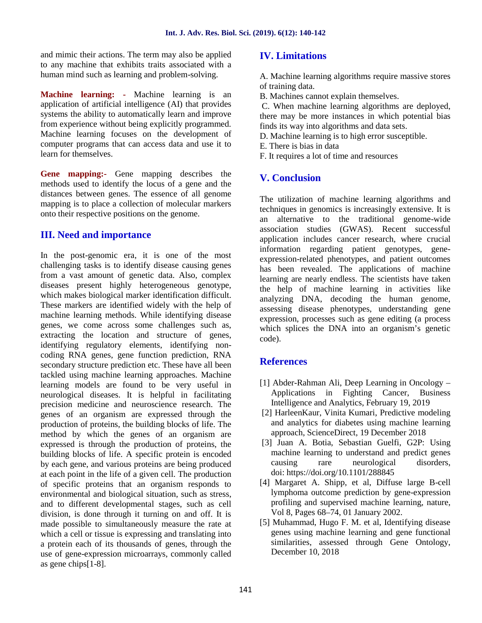and mimic their actions. The term may also be applied to any machine that exhibits traits associated with a human mind such as learning and problem-solving.

**Machine learning: -** Machine learning is an application of artificial intelligence (AI) that provides systems the ability to automatically learn and improve from experience without being explicitly programmed. Machine learning focuses on the development of computer programs that can access data and use it to learn for themselves.

**Gene mapping:-** Gene mapping describes the methods used to identify the locus of a gene and the distances between genes. The essence of all genome mapping is to place a collection of molecular markers onto their respective positions on the genome.

## **III. Need and importance**

In the post-genomic era, it is one of the most challenging tasks is to identify disease causing genes from a vast amount of genetic data. Also, complex diseases present highly heterogeneous genotype, which makes biological marker identification difficult. These markers are identified widely with the help of machine learning methods. While identifying disease genes, we come across some challenges such as, extracting the location and structure of genes, identifying regulatory elements, identifying non coding RNA genes, gene function prediction, RNA secondary structure prediction etc. These have all been tackled using machine learning approaches. Machine learning models are found to be very useful in neurological diseases. It is helpful in facilitating precision medicine and neuroscience research. The genes of an organism are expressed through the production of proteins, the building blocks of life. The method by which the genes of an organism are expressed is through the production of proteins, the building blocks of life. A specific protein is encoded by each gene, and various proteins are being produced at each point in the life of a given cell. The production of specific proteins that an organism responds to environmental and biological situation, such as stress, and to different developmental stages, such as cell division, is done through it turning on and off. It is made possible to simultaneously measure the rate at which a cell or tissue is expressing and translating into a protein each of its thousands of genes, through the use of gene-expression microarrays, commonly called as gene chips[1-8].

# **IV. Limitations**

A. Machine learning algorithms require massive stores of training data.

B. Machines cannot explain themselves.

C. When machine learning algorithms are deployed, there may be more instances in which potential bias finds its way into algorithms and data sets.

D. Machine learning is to high error susceptible.

- E. There is bias in data
- F. It requires a lot of time and resources

## **V. Conclusion**

The utilization of machine learning algorithms and techniques in genomics is increasingly extensive. It is an alternative to the traditional genome-wide association studies (GWAS). Recent successful application includes cancer research, where crucial information regarding patient genotypes, gene expression-related phenotypes, and patient outcomes has been revealed. The applications of machine learning are nearly endless. The scientists have taken the help of machine learning in activities like analyzing DNA, decoding the human genome, assessing disease phenotypes, understanding gene expression, processes such as gene editing (a process which splices the DNA into an organism's genetic code).

#### **References**

- [1] Abder-Rahman Ali, Deep Learning in Oncology Applications in Fighting Cancer, Business Intelligence and Analytics, February 19, 2019
- [2] HarleenKaur, Vinita Kumari, Predictive modeling and analytics for diabetes using machine learning approach, ScienceDirect, 19 December 2018
- [3] Juan A. Botia, Sebastian Guelfi, G2P: Using machine learning to understand and predict genes causing rare neurological disorders, doi: https://doi.org/10.1101/288845
- [4] Margaret A. Shipp, et al, Diffuse large B-cell lymphoma outcome prediction by gene-expression profiling and supervised machine learning, nature, Vol 8, Pages 68–74, 01 January 2002.
- [5] Muhammad, Hugo F. M. et al, Identifying disease genes using machine learning and gene functional similarities, assessed through Gene Ontology, December 10, 2018